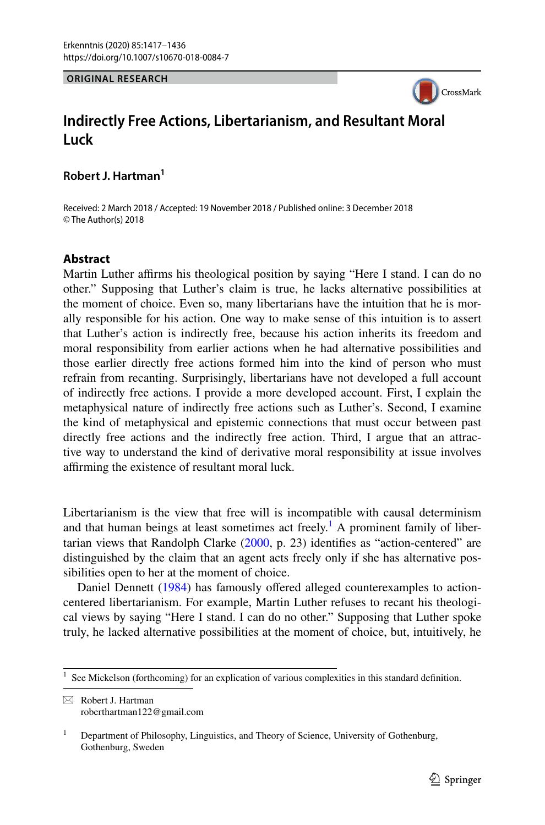#### **ORIGINAL RESEARCH**



# **Indirectly Free Actions, Libertarianism, and Resultant Moral Luck**

**Robert J. Hartman1**

Received: 2 March 2018 / Accepted: 19 November 2018 / Published online: 3 December 2018 © The Author(s) 2018

### **Abstract**

Martin Luther affirms his theological position by saying "Here I stand. I can do no other." Supposing that Luther's claim is true, he lacks alternative possibilities at the moment of choice. Even so, many libertarians have the intuition that he is morally responsible for his action. One way to make sense of this intuition is to assert that Luther's action is indirectly free, because his action inherits its freedom and moral responsibility from earlier actions when he had alternative possibilities and those earlier directly free actions formed him into the kind of person who must refrain from recanting. Surprisingly, libertarians have not developed a full account of indirectly free actions. I provide a more developed account. First, I explain the metaphysical nature of indirectly free actions such as Luther's. Second, I examine the kind of metaphysical and epistemic connections that must occur between past directly free actions and the indirectly free action. Third, I argue that an attractive way to understand the kind of derivative moral responsibility at issue involves afrming the existence of resultant moral luck.

Libertarianism is the view that free will is incompatible with causal determinism and that human beings at least sometimes act freely.<sup>[1](#page-0-0)</sup> A prominent family of libertarian views that Randolph Clarke [\(2000](#page-17-0), p. 23) identifes as "action-centered" are distinguished by the claim that an agent acts freely only if she has alternative possibilities open to her at the moment of choice.

Daniel Dennett ([1984\)](#page-17-1) has famously offered alleged counterexamples to actioncentered libertarianism. For example, Martin Luther refuses to recant his theological views by saying "Here I stand. I can do no other." Supposing that Luther spoke truly, he lacked alternative possibilities at the moment of choice, but, intuitively, he

<span id="page-0-0"></span>See Mickelson (forthcoming) for an explication of various complexities in this standard definition.

 $\boxtimes$  Robert J. Hartman roberthartman122@gmail.com

<sup>&</sup>lt;sup>1</sup> Department of Philosophy, Linguistics, and Theory of Science, University of Gothenburg, Gothenburg, Sweden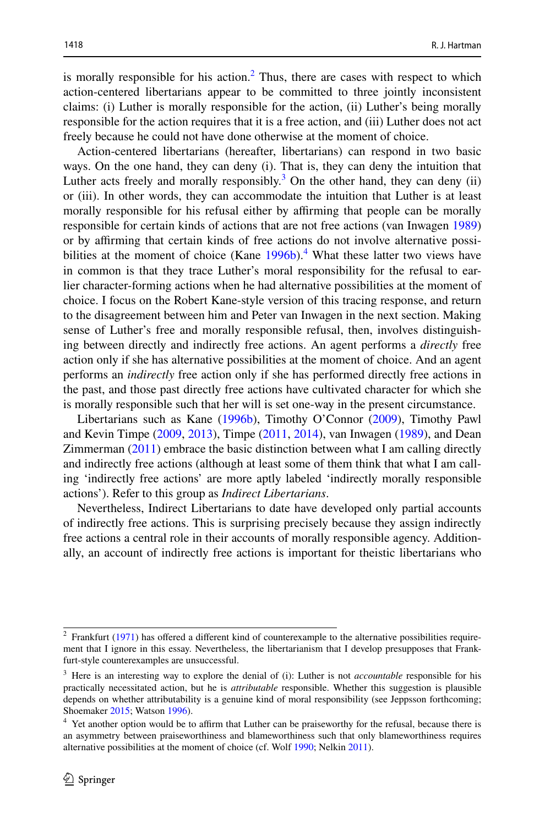is morally responsible for his action.<sup>2</sup> Thus, there are cases with respect to which action-centered libertarians appear to be committed to three jointly inconsistent claims: (i) Luther is morally responsible for the action, (ii) Luther's being morally responsible for the action requires that it is a free action, and (iii) Luther does not act freely because he could not have done otherwise at the moment of choice.

Action-centered libertarians (hereafter, libertarians) can respond in two basic ways. On the one hand, they can deny (i). That is, they can deny the intuition that Luther acts freely and morally responsibly.<sup>3</sup> On the other hand, they can deny  $(ii)$ or (iii). In other words, they can accommodate the intuition that Luther is at least morally responsible for his refusal either by affirming that people can be morally responsible for certain kinds of actions that are not free actions (van Inwagen [1989\)](#page-19-0) or by afrming that certain kinds of free actions do not involve alternative possibilities at the moment of choice (Kane  $1996b$ ).<sup>[4](#page-1-2)</sup> What these latter two views have in common is that they trace Luther's moral responsibility for the refusal to earlier character-forming actions when he had alternative possibilities at the moment of choice. I focus on the Robert Kane-style version of this tracing response, and return to the disagreement between him and Peter van Inwagen in the next section. Making sense of Luther's free and morally responsible refusal, then, involves distinguishing between directly and indirectly free actions. An agent performs a *directly* free action only if she has alternative possibilities at the moment of choice. And an agent performs an *indirectly* free action only if she has performed directly free actions in the past, and those past directly free actions have cultivated character for which she is morally responsible such that her will is set one-way in the present circumstance.

Libertarians such as Kane [\(1996b](#page-18-0)), Timothy O'Connor ([2009\)](#page-18-1), Timothy Pawl and Kevin Timpe ([2009,](#page-18-2) [2013\)](#page-18-3), Timpe ([2011,](#page-18-4) [2014](#page-18-5)), van Inwagen ([1989\)](#page-19-0), and Dean Zimmerman [\(2011](#page-19-1)) embrace the basic distinction between what I am calling directly and indirectly free actions (although at least some of them think that what I am calling 'indirectly free actions' are more aptly labeled 'indirectly morally responsible actions'). Refer to this group as *Indirect Libertarians*.

Nevertheless, Indirect Libertarians to date have developed only partial accounts of indirectly free actions. This is surprising precisely because they assign indirectly free actions a central role in their accounts of morally responsible agency. Additionally, an account of indirectly free actions is important for theistic libertarians who

<span id="page-1-0"></span> $2$  Frankfurt [\(1971](#page-18-8)) has offered a different kind of counterexample to the alternative possibilities requirement that I ignore in this essay. Nevertheless, the libertarianism that I develop presupposes that Frankfurt-style counterexamples are unsuccessful.

<span id="page-1-1"></span><sup>3</sup> Here is an interesting way to explore the denial of (i): Luther is not *accountable* responsible for his practically necessitated action, but he is *attributable* responsible. Whether this suggestion is plausible depends on whether attributability is a genuine kind of moral responsibility (see Jeppsson forthcoming; Shoemaker [2015;](#page-18-6) Watson [1996](#page-19-2)).

<span id="page-1-2"></span><sup>&</sup>lt;sup>4</sup> Yet another option would be to affirm that Luther can be praiseworthy for the refusal, because there is an asymmetry between praiseworthiness and blameworthiness such that only blameworthiness requires alternative possibilities at the moment of choice (cf. Wolf [1990](#page-19-3); Nelkin [2011\)](#page-18-7).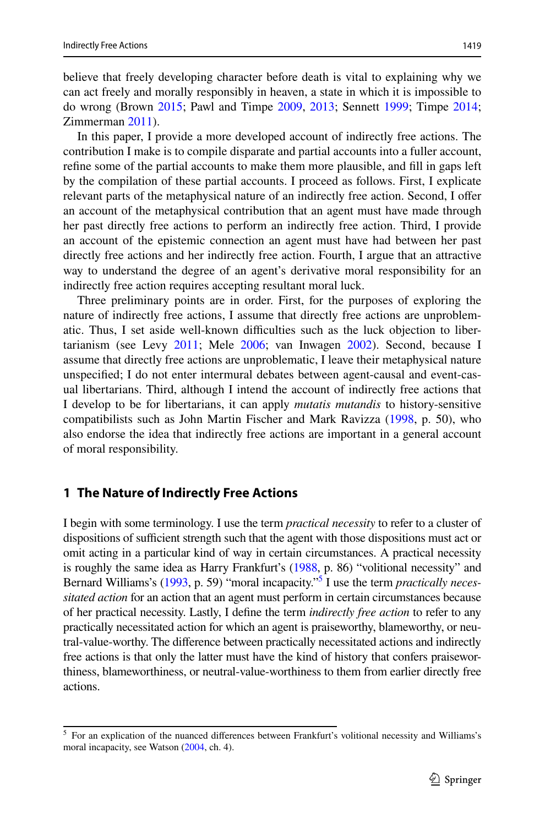believe that freely developing character before death is vital to explaining why we can act freely and morally responsibly in heaven, a state in which it is impossible to do wrong (Brown [2015](#page-17-2); Pawl and Timpe [2009,](#page-18-2) [2013;](#page-18-3) Sennett [1999;](#page-18-9) Timpe [2014;](#page-18-5) Zimmerman [2011](#page-19-1)).

In this paper, I provide a more developed account of indirectly free actions. The contribution I make is to compile disparate and partial accounts into a fuller account, refne some of the partial accounts to make them more plausible, and fll in gaps left by the compilation of these partial accounts. I proceed as follows. First, I explicate relevant parts of the metaphysical nature of an indirectly free action. Second, I offer an account of the metaphysical contribution that an agent must have made through her past directly free actions to perform an indirectly free action. Third, I provide an account of the epistemic connection an agent must have had between her past directly free actions and her indirectly free action. Fourth, I argue that an attractive way to understand the degree of an agent's derivative moral responsibility for an indirectly free action requires accepting resultant moral luck.

Three preliminary points are in order. First, for the purposes of exploring the nature of indirectly free actions, I assume that directly free actions are unproblematic. Thus, I set aside well-known difculties such as the luck objection to libertarianism (see Levy [2011](#page-18-10); Mele [2006](#page-18-11); van Inwagen [2002](#page-19-4)). Second, because I assume that directly free actions are unproblematic, I leave their metaphysical nature unspecifed; I do not enter intermural debates between agent-causal and event-casual libertarians. Third, although I intend the account of indirectly free actions that I develop to be for libertarians, it can apply *mutatis mutandis* to history-sensitive compatibilists such as John Martin Fischer and Mark Ravizza [\(1998](#page-18-12), p. 50), who also endorse the idea that indirectly free actions are important in a general account of moral responsibility.

## **1 The Nature of Indirectly Free Actions**

I begin with some terminology. I use the term *practical necessity* to refer to a cluster of dispositions of sufficient strength such that the agent with those dispositions must act or omit acting in a particular kind of way in certain circumstances. A practical necessity is roughly the same idea as Harry Frankfurt's ([1988](#page-18-13), p. 86) "volitional necessity" and Bernard Williams's [\(1993,](#page-19-5) p. 59) "moral incapacity.["5](#page-2-0) I use the term *practically necessitated action* for an action that an agent must perform in certain circumstances because of her practical necessity. Lastly, I defne the term *indirectly free action* to refer to any practically necessitated action for which an agent is praiseworthy, blameworthy, or neutral-value-worthy. The diference between practically necessitated actions and indirectly free actions is that only the latter must have the kind of history that confers praiseworthiness, blameworthiness, or neutral-value-worthiness to them from earlier directly free actions.

<span id="page-2-0"></span><sup>5</sup> For an explication of the nuanced diferences between Frankfurt's volitional necessity and Williams's moral incapacity, see Watson ([2004,](#page-19-6) ch. 4).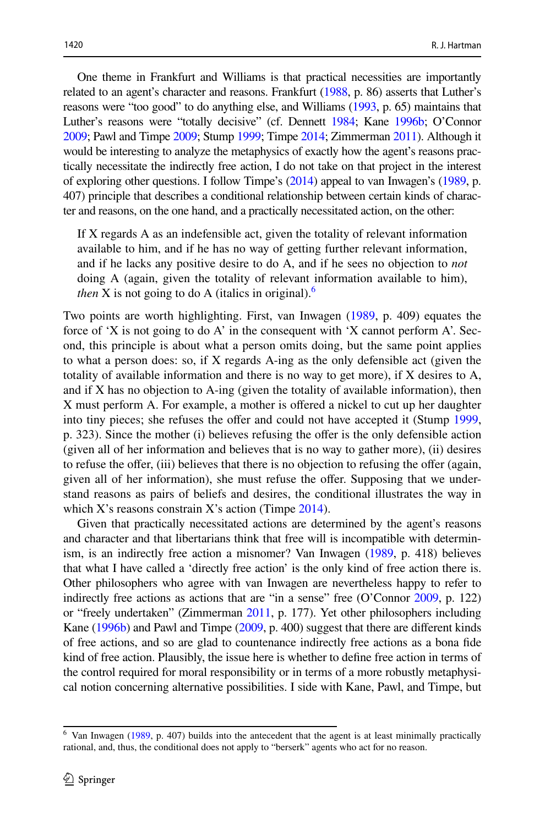One theme in Frankfurt and Williams is that practical necessities are importantly related to an agent's character and reasons. Frankfurt [\(1988](#page-18-13), p. 86) asserts that Luther's reasons were "too good" to do anything else, and Williams [\(1993,](#page-19-5) p. 65) maintains that Luther's reasons were "totally decisive" (cf. Dennett [1984](#page-17-1); Kane [1996b](#page-18-0); O'Connor [2009](#page-18-1); Pawl and Timpe [2009;](#page-18-2) Stump [1999](#page-18-14); Timpe [2014](#page-18-5); Zimmerman [2011](#page-19-1)). Although it would be interesting to analyze the metaphysics of exactly how the agent's reasons practically necessitate the indirectly free action, I do not take on that project in the interest of exploring other questions. I follow Timpe's ([2014\)](#page-18-5) appeal to van Inwagen's [\(1989](#page-19-0), p. 407) principle that describes a conditional relationship between certain kinds of character and reasons, on the one hand, and a practically necessitated action, on the other:

If X regards A as an indefensible act, given the totality of relevant information available to him, and if he has no way of getting further relevant information, and if he lacks any positive desire to do A, and if he sees no objection to *not* doing A (again, given the totality of relevant information available to him), *then* X is not going to do A (italics in original). $\frac{6}{10}$ 

Two points are worth highlighting. First, van Inwagen ([1989,](#page-19-0) p. 409) equates the force of 'X is not going to do A' in the consequent with 'X cannot perform A'. Second, this principle is about what a person omits doing, but the same point applies to what a person does: so, if X regards A-ing as the only defensible act (given the totality of available information and there is no way to get more), if X desires to A, and if X has no objection to A-ing (given the totality of available information), then X must perform A. For example, a mother is offered a nickel to cut up her daughter into tiny pieces; she refuses the offer and could not have accepted it (Stump [1999,](#page-18-14) p. 323). Since the mother (i) believes refusing the ofer is the only defensible action (given all of her information and believes that is no way to gather more), (ii) desires to refuse the offer, (iii) believes that there is no objection to refusing the offer (again, given all of her information), she must refuse the offer. Supposing that we understand reasons as pairs of beliefs and desires, the conditional illustrates the way in which X's reasons constrain X's action (Timpe  $2014$ ).

Given that practically necessitated actions are determined by the agent's reasons and character and that libertarians think that free will is incompatible with determinism, is an indirectly free action a misnomer? Van Inwagen ([1989](#page-19-0), p. 418) believes that what I have called a 'directly free action' is the only kind of free action there is. Other philosophers who agree with van Inwagen are nevertheless happy to refer to indirectly free actions as actions that are "in a sense" free (O'Connor [2009,](#page-18-1) p. 122) or "freely undertaken" (Zimmerman [2011,](#page-19-1) p. 177). Yet other philosophers including Kane [\(1996b\)](#page-18-0) and Pawl and Timpe ([2009](#page-18-2), p. 400) suggest that there are diferent kinds of free actions, and so are glad to countenance indirectly free actions as a bona fde kind of free action. Plausibly, the issue here is whether to defne free action in terms of the control required for moral responsibility or in terms of a more robustly metaphysical notion concerning alternative possibilities. I side with Kane, Pawl, and Timpe, but

<span id="page-3-0"></span> $6$  Van Inwagen [\(1989](#page-19-0), p. 407) builds into the antecedent that the agent is at least minimally practically rational, and, thus, the conditional does not apply to "berserk" agents who act for no reason.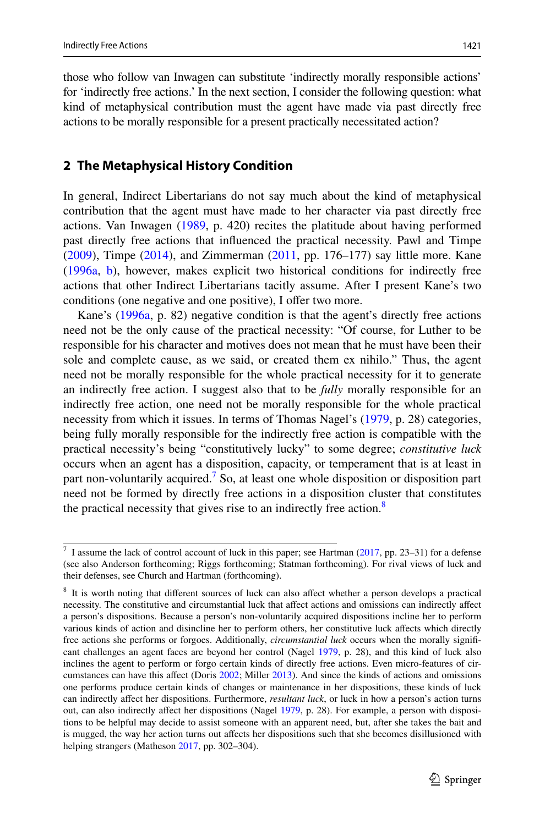those who follow van Inwagen can substitute 'indirectly morally responsible actions' for 'indirectly free actions.' In the next section, I consider the following question: what kind of metaphysical contribution must the agent have made via past directly free actions to be morally responsible for a present practically necessitated action?

#### **2 The Metaphysical History Condition**

In general, Indirect Libertarians do not say much about the kind of metaphysical contribution that the agent must have made to her character via past directly free actions. Van Inwagen ([1989,](#page-19-0) p. 420) recites the platitude about having performed past directly free actions that infuenced the practical necessity. Pawl and Timpe [\(2009](#page-18-2)), Timpe [\(2014](#page-18-5)), and Zimmerman [\(2011](#page-19-1), pp. 176–177) say little more. Kane [\(1996a,](#page-18-15) [b\)](#page-18-0), however, makes explicit two historical conditions for indirectly free actions that other Indirect Libertarians tacitly assume. After I present Kane's two conditions (one negative and one positive), I offer two more.

Kane's ([1996a](#page-18-15), p. 82) negative condition is that the agent's directly free actions need not be the only cause of the practical necessity: "Of course, for Luther to be responsible for his character and motives does not mean that he must have been their sole and complete cause, as we said, or created them ex nihilo." Thus, the agent need not be morally responsible for the whole practical necessity for it to generate an indirectly free action. I suggest also that to be *fully* morally responsible for an indirectly free action, one need not be morally responsible for the whole practical necessity from which it issues. In terms of Thomas Nagel's [\(1979](#page-18-16), p. 28) categories, being fully morally responsible for the indirectly free action is compatible with the practical necessity's being "constitutively lucky" to some degree; *constitutive luck* occurs when an agent has a disposition, capacity, or temperament that is at least in part non-voluntarily acquired.<sup>7</sup> So, at least one whole disposition or disposition part need not be formed by directly free actions in a disposition cluster that constitutes the practical necessity that gives rise to an indirectly free action.<sup>[8](#page-4-1)</sup>

<span id="page-4-0"></span><sup>7</sup> I assume the lack of control account of luck in this paper; see Hartman [\(2017](#page-18-17), pp. 23–31) for a defense (see also Anderson forthcoming; Riggs forthcoming; Statman forthcoming). For rival views of luck and their defenses, see Church and Hartman (forthcoming).

<span id="page-4-1"></span><sup>&</sup>lt;sup>8</sup> It is worth noting that different sources of luck can also affect whether a person develops a practical necessity. The constitutive and circumstantial luck that afect actions and omissions can indirectly afect a person's dispositions. Because a person's non-voluntarily acquired dispositions incline her to perform various kinds of action and disincline her to perform others, her constitutive luck afects which directly free actions she performs or forgoes. Additionally, *circumstantial luck* occurs when the morally signifcant challenges an agent faces are beyond her control (Nagel [1979,](#page-18-16) p. 28), and this kind of luck also inclines the agent to perform or forgo certain kinds of directly free actions. Even micro-features of circumstances can have this afect (Doris [2002;](#page-17-3) Miller [2013\)](#page-18-18). And since the kinds of actions and omissions one performs produce certain kinds of changes or maintenance in her dispositions, these kinds of luck can indirectly afect her dispositions. Furthermore, *resultant luck*, or luck in how a person's action turns out, can also indirectly afect her dispositions (Nagel [1979](#page-18-16), p. 28). For example, a person with dispositions to be helpful may decide to assist someone with an apparent need, but, after she takes the bait and is mugged, the way her action turns out affects her dispositions such that she becomes disillusioned with helping strangers (Matheson [2017,](#page-18-19) pp. 302–304).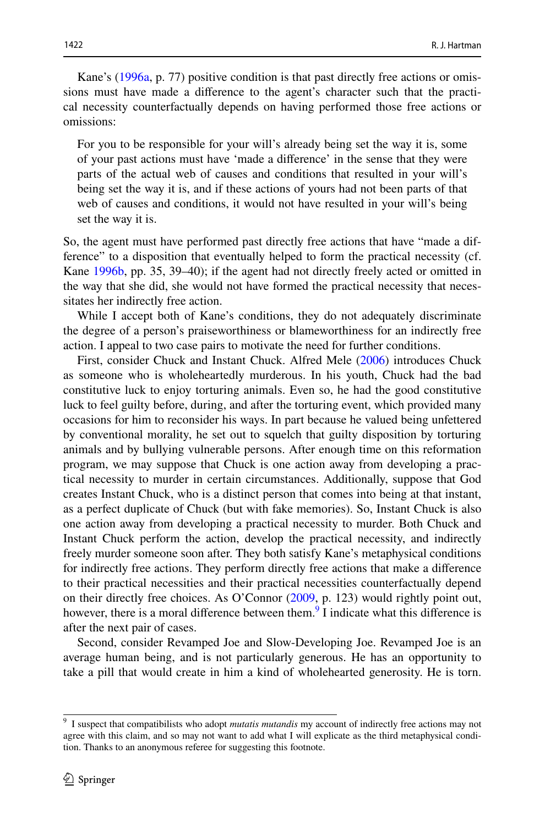Kane's [\(1996a](#page-18-15), p. 77) positive condition is that past directly free actions or omissions must have made a diference to the agent's character such that the practical necessity counterfactually depends on having performed those free actions or omissions:

For you to be responsible for your will's already being set the way it is, some of your past actions must have 'made a diference' in the sense that they were parts of the actual web of causes and conditions that resulted in your will's being set the way it is, and if these actions of yours had not been parts of that web of causes and conditions, it would not have resulted in your will's being set the way it is.

So, the agent must have performed past directly free actions that have "made a difference" to a disposition that eventually helped to form the practical necessity (cf. Kane [1996b](#page-18-0), pp. 35, 39–40); if the agent had not directly freely acted or omitted in the way that she did, she would not have formed the practical necessity that necessitates her indirectly free action.

While I accept both of Kane's conditions, they do not adequately discriminate the degree of a person's praiseworthiness or blameworthiness for an indirectly free action. I appeal to two case pairs to motivate the need for further conditions.

First, consider Chuck and Instant Chuck. Alfred Mele ([2006\)](#page-18-11) introduces Chuck as someone who is wholeheartedly murderous. In his youth, Chuck had the bad constitutive luck to enjoy torturing animals. Even so, he had the good constitutive luck to feel guilty before, during, and after the torturing event, which provided many occasions for him to reconsider his ways. In part because he valued being unfettered by conventional morality, he set out to squelch that guilty disposition by torturing animals and by bullying vulnerable persons. After enough time on this reformation program, we may suppose that Chuck is one action away from developing a practical necessity to murder in certain circumstances. Additionally, suppose that God creates Instant Chuck, who is a distinct person that comes into being at that instant, as a perfect duplicate of Chuck (but with fake memories). So, Instant Chuck is also one action away from developing a practical necessity to murder. Both Chuck and Instant Chuck perform the action, develop the practical necessity, and indirectly freely murder someone soon after. They both satisfy Kane's metaphysical conditions for indirectly free actions. They perform directly free actions that make a diference to their practical necessities and their practical necessities counterfactually depend on their directly free choices. As O'Connor [\(2009](#page-18-1), p. 123) would rightly point out, however, there is a moral difference between them.<sup>9</sup> I indicate what this difference is after the next pair of cases.

Second, consider Revamped Joe and Slow-Developing Joe. Revamped Joe is an average human being, and is not particularly generous. He has an opportunity to take a pill that would create in him a kind of wholehearted generosity. He is torn.

<span id="page-5-0"></span><sup>9</sup> I suspect that compatibilists who adopt *mutatis mutandis* my account of indirectly free actions may not agree with this claim, and so may not want to add what I will explicate as the third metaphysical condition. Thanks to an anonymous referee for suggesting this footnote.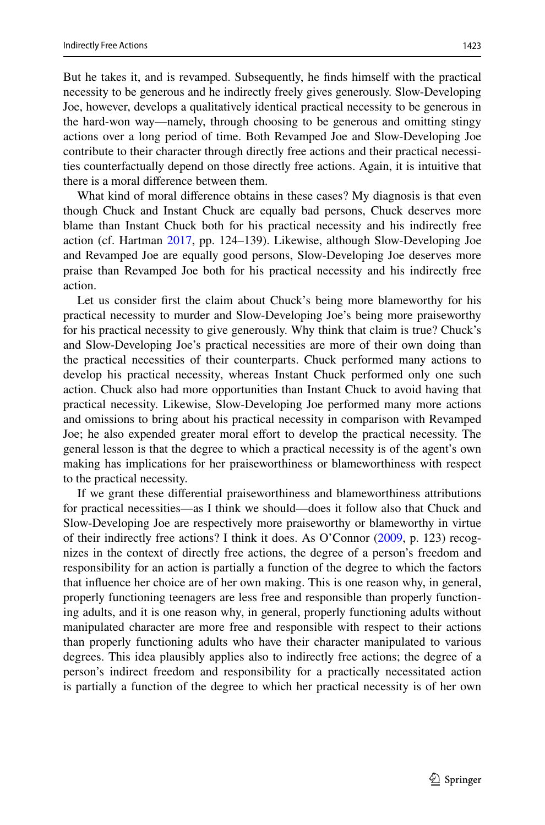But he takes it, and is revamped. Subsequently, he fnds himself with the practical necessity to be generous and he indirectly freely gives generously. Slow-Developing Joe, however, develops a qualitatively identical practical necessity to be generous in the hard-won way—namely, through choosing to be generous and omitting stingy actions over a long period of time. Both Revamped Joe and Slow-Developing Joe contribute to their character through directly free actions and their practical necessities counterfactually depend on those directly free actions. Again, it is intuitive that there is a moral diference between them.

What kind of moral difference obtains in these cases? My diagnosis is that even though Chuck and Instant Chuck are equally bad persons, Chuck deserves more blame than Instant Chuck both for his practical necessity and his indirectly free action (cf. Hartman [2017,](#page-18-17) pp. 124–139). Likewise, although Slow-Developing Joe and Revamped Joe are equally good persons, Slow-Developing Joe deserves more praise than Revamped Joe both for his practical necessity and his indirectly free action.

Let us consider frst the claim about Chuck's being more blameworthy for his practical necessity to murder and Slow-Developing Joe's being more praiseworthy for his practical necessity to give generously. Why think that claim is true? Chuck's and Slow-Developing Joe's practical necessities are more of their own doing than the practical necessities of their counterparts. Chuck performed many actions to develop his practical necessity, whereas Instant Chuck performed only one such action. Chuck also had more opportunities than Instant Chuck to avoid having that practical necessity. Likewise, Slow-Developing Joe performed many more actions and omissions to bring about his practical necessity in comparison with Revamped Joe; he also expended greater moral efort to develop the practical necessity. The general lesson is that the degree to which a practical necessity is of the agent's own making has implications for her praiseworthiness or blameworthiness with respect to the practical necessity.

If we grant these diferential praiseworthiness and blameworthiness attributions for practical necessities—as I think we should—does it follow also that Chuck and Slow-Developing Joe are respectively more praiseworthy or blameworthy in virtue of their indirectly free actions? I think it does. As O'Connor ([2009,](#page-18-1) p. 123) recognizes in the context of directly free actions, the degree of a person's freedom and responsibility for an action is partially a function of the degree to which the factors that infuence her choice are of her own making. This is one reason why, in general, properly functioning teenagers are less free and responsible than properly functioning adults, and it is one reason why, in general, properly functioning adults without manipulated character are more free and responsible with respect to their actions than properly functioning adults who have their character manipulated to various degrees. This idea plausibly applies also to indirectly free actions; the degree of a person's indirect freedom and responsibility for a practically necessitated action is partially a function of the degree to which her practical necessity is of her own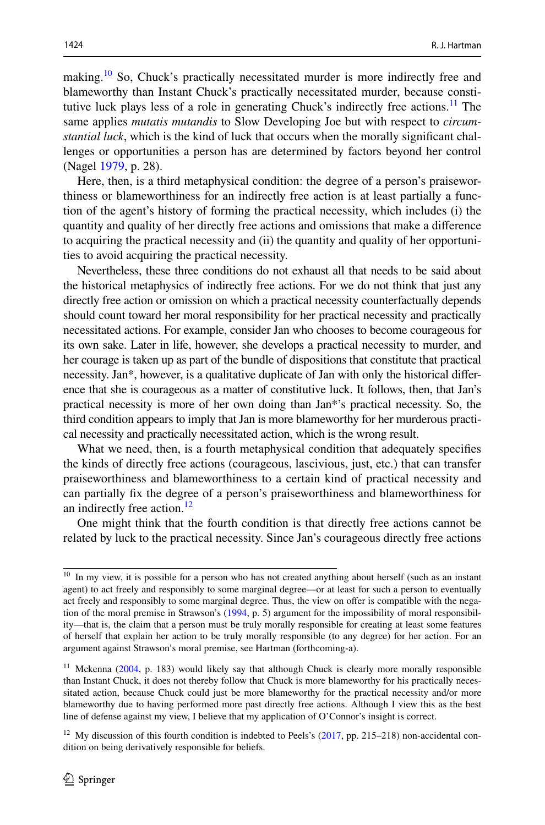making.<sup>10</sup> So, Chuck's practically necessitated murder is more indirectly free and blameworthy than Instant Chuck's practically necessitated murder, because consti-tutive luck plays less of a role in generating Chuck's indirectly free actions.<sup>[11](#page-7-1)</sup> The same applies *mutatis mutandis* to Slow Developing Joe but with respect to *circumstantial luck*, which is the kind of luck that occurs when the morally signifcant challenges or opportunities a person has are determined by factors beyond her control (Nagel [1979](#page-18-16), p. 28).

Here, then, is a third metaphysical condition: the degree of a person's praiseworthiness or blameworthiness for an indirectly free action is at least partially a function of the agent's history of forming the practical necessity, which includes (i) the quantity and quality of her directly free actions and omissions that make a diference to acquiring the practical necessity and (ii) the quantity and quality of her opportunities to avoid acquiring the practical necessity.

Nevertheless, these three conditions do not exhaust all that needs to be said about the historical metaphysics of indirectly free actions. For we do not think that just any directly free action or omission on which a practical necessity counterfactually depends should count toward her moral responsibility for her practical necessity and practically necessitated actions. For example, consider Jan who chooses to become courageous for its own sake. Later in life, however, she develops a practical necessity to murder, and her courage is taken up as part of the bundle of dispositions that constitute that practical necessity. Jan\*, however, is a qualitative duplicate of Jan with only the historical diference that she is courageous as a matter of constitutive luck. It follows, then, that Jan's practical necessity is more of her own doing than Jan\*'s practical necessity. So, the third condition appears to imply that Jan is more blameworthy for her murderous practical necessity and practically necessitated action, which is the wrong result.

What we need, then, is a fourth metaphysical condition that adequately specifes the kinds of directly free actions (courageous, lascivious, just, etc.) that can transfer praiseworthiness and blameworthiness to a certain kind of practical necessity and can partially fx the degree of a person's praiseworthiness and blameworthiness for an indirectly free action.<sup>[12](#page-7-2)</sup>

One might think that the fourth condition is that directly free actions cannot be related by luck to the practical necessity. Since Jan's courageous directly free actions

<span id="page-7-0"></span><sup>&</sup>lt;sup>10</sup> In my view, it is possible for a person who has not created anything about herself (such as an instant agent) to act freely and responsibly to some marginal degree—or at least for such a person to eventually act freely and responsibly to some marginal degree. Thus, the view on offer is compatible with the negation of the moral premise in Strawson's [\(1994](#page-18-22), p. 5) argument for the impossibility of moral responsibility—that is, the claim that a person must be truly morally responsible for creating at least some features of herself that explain her action to be truly morally responsible (to any degree) for her action. For an argument against Strawson's moral premise, see Hartman (forthcoming-a).

<span id="page-7-1"></span><sup>&</sup>lt;sup>11</sup> Mckenna ([2004,](#page-18-20) p. 183) would likely say that although Chuck is clearly more morally responsible than Instant Chuck, it does not thereby follow that Chuck is more blameworthy for his practically necessitated action, because Chuck could just be more blameworthy for the practical necessity and/or more blameworthy due to having performed more past directly free actions. Although I view this as the best line of defense against my view, I believe that my application of O'Connor's insight is correct.

<span id="page-7-2"></span> $12$  My discussion of this fourth condition is indebted to Peels's [\(2017](#page-18-21), pp. 215–218) non-accidental condition on being derivatively responsible for beliefs.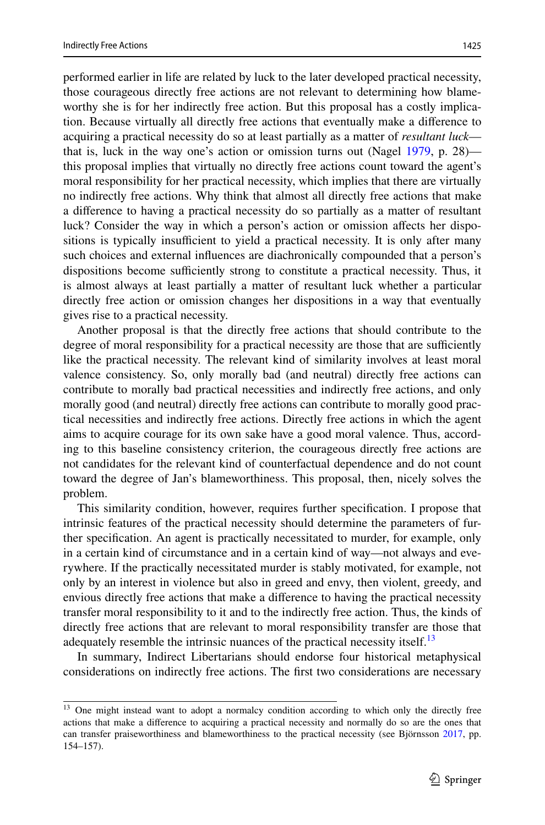gives rise to a practical necessity.

performed earlier in life are related by luck to the later developed practical necessity, those courageous directly free actions are not relevant to determining how blameworthy she is for her indirectly free action. But this proposal has a costly implication. Because virtually all directly free actions that eventually make a diference to acquiring a practical necessity do so at least partially as a matter of *resultant luck* that is, luck in the way one's action or omission turns out (Nagel [1979](#page-18-16), p. 28) this proposal implies that virtually no directly free actions count toward the agent's moral responsibility for her practical necessity, which implies that there are virtually no indirectly free actions. Why think that almost all directly free actions that make a diference to having a practical necessity do so partially as a matter of resultant luck? Consider the way in which a person's action or omission afects her dispositions is typically insufficient to yield a practical necessity. It is only after many such choices and external infuences are diachronically compounded that a person's dispositions become sufficiently strong to constitute a practical necessity. Thus, it is almost always at least partially a matter of resultant luck whether a particular directly free action or omission changes her dispositions in a way that eventually

Another proposal is that the directly free actions that should contribute to the degree of moral responsibility for a practical necessity are those that are sufficiently like the practical necessity. The relevant kind of similarity involves at least moral valence consistency. So, only morally bad (and neutral) directly free actions can contribute to morally bad practical necessities and indirectly free actions, and only morally good (and neutral) directly free actions can contribute to morally good practical necessities and indirectly free actions. Directly free actions in which the agent aims to acquire courage for its own sake have a good moral valence. Thus, according to this baseline consistency criterion, the courageous directly free actions are not candidates for the relevant kind of counterfactual dependence and do not count toward the degree of Jan's blameworthiness. This proposal, then, nicely solves the problem.

This similarity condition, however, requires further specifcation. I propose that intrinsic features of the practical necessity should determine the parameters of further specifcation. An agent is practically necessitated to murder, for example, only in a certain kind of circumstance and in a certain kind of way—not always and everywhere. If the practically necessitated murder is stably motivated, for example, not only by an interest in violence but also in greed and envy, then violent, greedy, and envious directly free actions that make a diference to having the practical necessity transfer moral responsibility to it and to the indirectly free action. Thus, the kinds of directly free actions that are relevant to moral responsibility transfer are those that adequately resemble the intrinsic nuances of the practical necessity itself.<sup>13</sup>

In summary, Indirect Libertarians should endorse four historical metaphysical considerations on indirectly free actions. The frst two considerations are necessary

<span id="page-8-0"></span><sup>&</sup>lt;sup>13</sup> One might instead want to adopt a normalcy condition according to which only the directly free actions that make a diference to acquiring a practical necessity and normally do so are the ones that can transfer praiseworthiness and blameworthiness to the practical necessity (see Björnsson [2017](#page-17-4), pp. 154–157).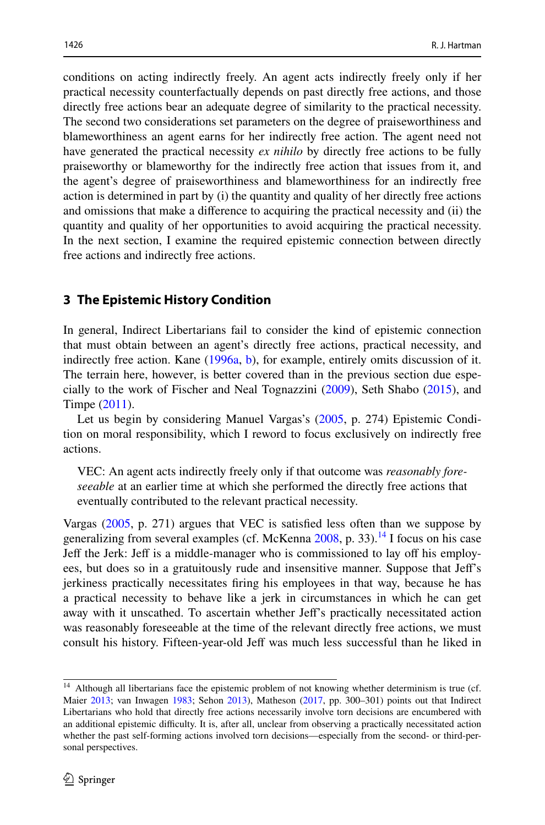conditions on acting indirectly freely. An agent acts indirectly freely only if her practical necessity counterfactually depends on past directly free actions, and those directly free actions bear an adequate degree of similarity to the practical necessity. The second two considerations set parameters on the degree of praiseworthiness and blameworthiness an agent earns for her indirectly free action. The agent need not have generated the practical necessity *ex nihilo* by directly free actions to be fully praiseworthy or blameworthy for the indirectly free action that issues from it, and the agent's degree of praiseworthiness and blameworthiness for an indirectly free action is determined in part by (i) the quantity and quality of her directly free actions and omissions that make a diference to acquiring the practical necessity and (ii) the quantity and quality of her opportunities to avoid acquiring the practical necessity. In the next section, I examine the required epistemic connection between directly free actions and indirectly free actions.

#### **3 The Epistemic History Condition**

In general, Indirect Libertarians fail to consider the kind of epistemic connection that must obtain between an agent's directly free actions, practical necessity, and indirectly free action. Kane [\(1996a,](#page-18-15) [b](#page-18-0)), for example, entirely omits discussion of it. The terrain here, however, is better covered than in the previous section due especially to the work of Fischer and Neal Tognazzini ([2009\)](#page-18-23), Seth Shabo ([2015\)](#page-18-24), and Timpe ([2011\)](#page-18-4).

Let us begin by considering Manuel Vargas's [\(2005](#page-19-7), p. 274) Epistemic Condition on moral responsibility, which I reword to focus exclusively on indirectly free actions.

VEC: An agent acts indirectly freely only if that outcome was *reasonably foreseeable* at an earlier time at which she performed the directly free actions that eventually contributed to the relevant practical necessity.

Vargas [\(2005](#page-19-7), p. 271) argues that VEC is satisfed less often than we suppose by generalizing from several examples (cf. McKenna [2008,](#page-18-25) p. 33).<sup>14</sup> I focus on his case Jeff the Jerk: Jeff is a middle-manager who is commissioned to lay off his employees, but does so in a gratuitously rude and insensitive manner. Suppose that Jef's jerkiness practically necessitates fring his employees in that way, because he has a practical necessity to behave like a jerk in circumstances in which he can get away with it unscathed. To ascertain whether Jef's practically necessitated action was reasonably foreseeable at the time of the relevant directly free actions, we must consult his history. Fifteen-year-old Jeff was much less successful than he liked in

<span id="page-9-0"></span><sup>&</sup>lt;sup>14</sup> Although all libertarians face the epistemic problem of not knowing whether determinism is true (cf. Maier [2013](#page-18-26); van Inwagen [1983](#page-18-27); Sehon [2013](#page-18-28)), Matheson [\(2017](#page-18-19), pp. 300–301) points out that Indirect Libertarians who hold that directly free actions necessarily involve torn decisions are encumbered with an additional epistemic difficulty. It is, after all, unclear from observing a practically necessitated action whether the past self-forming actions involved torn decisions—especially from the second- or third-personal perspectives.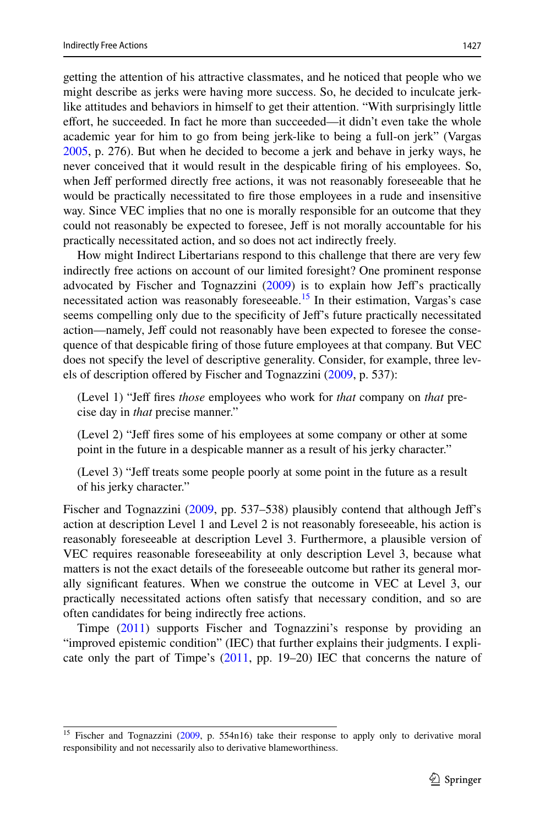getting the attention of his attractive classmates, and he noticed that people who we might describe as jerks were having more success. So, he decided to inculcate jerklike attitudes and behaviors in himself to get their attention. "With surprisingly little efort, he succeeded. In fact he more than succeeded—it didn't even take the whole academic year for him to go from being jerk-like to being a full-on jerk" (Vargas [2005](#page-19-7), p. 276). But when he decided to become a jerk and behave in jerky ways, he never conceived that it would result in the despicable fring of his employees. So, when Jeff performed directly free actions, it was not reasonably foreseeable that he would be practically necessitated to fre those employees in a rude and insensitive way. Since VEC implies that no one is morally responsible for an outcome that they could not reasonably be expected to foresee, Jeff is not morally accountable for his practically necessitated action, and so does not act indirectly freely.

How might Indirect Libertarians respond to this challenge that there are very few indirectly free actions on account of our limited foresight? One prominent response advocated by Fischer and Tognazzini ([2009\)](#page-18-23) is to explain how Jef's practically necessitated action was reasonably foreseeable[.15](#page-10-0) In their estimation, Vargas's case seems compelling only due to the specifcity of Jef's future practically necessitated action—namely, Jeff could not reasonably have been expected to foresee the consequence of that despicable fring of those future employees at that company. But VEC does not specify the level of descriptive generality. Consider, for example, three lev-els of description offered by Fischer and Tognazzini ([2009,](#page-18-23) p. 537):

(Level 1) "Jeff fires *those* employees who work for *that* company on *that* precise day in *that* precise manner."

(Level 2) "Jef fres some of his employees at some company or other at some point in the future in a despicable manner as a result of his jerky character."

(Level 3) "Jeff treats some people poorly at some point in the future as a result of his jerky character."

Fischer and Tognazzini ([2009,](#page-18-23) pp. 537–538) plausibly contend that although Jef's action at description Level 1 and Level 2 is not reasonably foreseeable, his action is reasonably foreseeable at description Level 3. Furthermore, a plausible version of VEC requires reasonable foreseeability at only description Level 3, because what matters is not the exact details of the foreseeable outcome but rather its general morally signifcant features. When we construe the outcome in VEC at Level 3, our practically necessitated actions often satisfy that necessary condition, and so are often candidates for being indirectly free actions.

Timpe [\(2011](#page-18-4)) supports Fischer and Tognazzini's response by providing an "improved epistemic condition" (IEC) that further explains their judgments. I explicate only the part of Timpe's ([2011,](#page-18-4) pp. 19–20) IEC that concerns the nature of

<span id="page-10-0"></span><sup>&</sup>lt;sup>15</sup> Fischer and Tognazzini [\(2009](#page-18-23), p. 554n16) take their response to apply only to derivative moral responsibility and not necessarily also to derivative blameworthiness.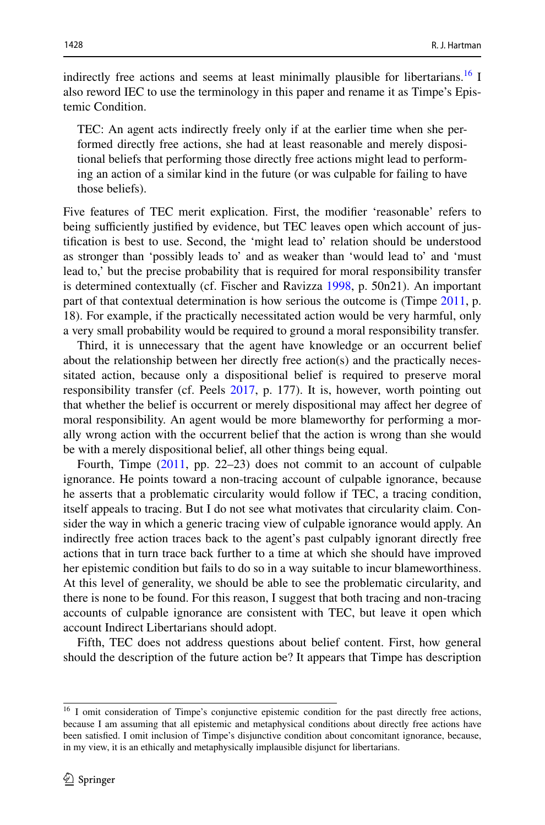indirectly free actions and seems at least minimally plausible for libertarians.<sup>16</sup> I also reword IEC to use the terminology in this paper and rename it as Timpe's Epistemic Condition.

TEC: An agent acts indirectly freely only if at the earlier time when she performed directly free actions, she had at least reasonable and merely dispositional beliefs that performing those directly free actions might lead to performing an action of a similar kind in the future (or was culpable for failing to have those beliefs).

Five features of TEC merit explication. First, the modifer 'reasonable' refers to being sufficiently justified by evidence, but TEC leaves open which account of justifcation is best to use. Second, the 'might lead to' relation should be understood as stronger than 'possibly leads to' and as weaker than 'would lead to' and 'must lead to,' but the precise probability that is required for moral responsibility transfer is determined contextually (cf. Fischer and Ravizza [1998](#page-18-12), p. 50n21). An important part of that contextual determination is how serious the outcome is (Timpe [2011,](#page-18-4) p. 18). For example, if the practically necessitated action would be very harmful, only a very small probability would be required to ground a moral responsibility transfer.

Third, it is unnecessary that the agent have knowledge or an occurrent belief about the relationship between her directly free action(s) and the practically necessitated action, because only a dispositional belief is required to preserve moral responsibility transfer (cf. Peels [2017,](#page-18-21) p. 177). It is, however, worth pointing out that whether the belief is occurrent or merely dispositional may afect her degree of moral responsibility. An agent would be more blameworthy for performing a morally wrong action with the occurrent belief that the action is wrong than she would be with a merely dispositional belief, all other things being equal.

Fourth, Timpe ([2011,](#page-18-4) pp. 22–23) does not commit to an account of culpable ignorance. He points toward a non-tracing account of culpable ignorance, because he asserts that a problematic circularity would follow if TEC, a tracing condition, itself appeals to tracing. But I do not see what motivates that circularity claim. Consider the way in which a generic tracing view of culpable ignorance would apply. An indirectly free action traces back to the agent's past culpably ignorant directly free actions that in turn trace back further to a time at which she should have improved her epistemic condition but fails to do so in a way suitable to incur blameworthiness. At this level of generality, we should be able to see the problematic circularity, and there is none to be found. For this reason, I suggest that both tracing and non-tracing accounts of culpable ignorance are consistent with TEC, but leave it open which account Indirect Libertarians should adopt.

Fifth, TEC does not address questions about belief content. First, how general should the description of the future action be? It appears that Timpe has description

<span id="page-11-0"></span><sup>&</sup>lt;sup>16</sup> I omit consideration of Timpe's conjunctive epistemic condition for the past directly free actions, because I am assuming that all epistemic and metaphysical conditions about directly free actions have been satisfed. I omit inclusion of Timpe's disjunctive condition about concomitant ignorance, because, in my view, it is an ethically and metaphysically implausible disjunct for libertarians.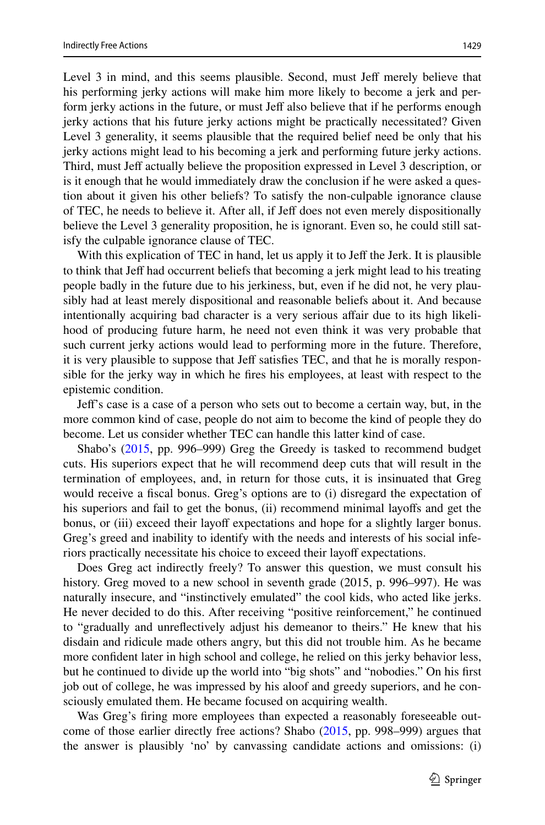Level 3 in mind, and this seems plausible. Second, must Jeff merely believe that his performing jerky actions will make him more likely to become a jerk and perform jerky actions in the future, or must Jeff also believe that if he performs enough jerky actions that his future jerky actions might be practically necessitated? Given Level 3 generality, it seems plausible that the required belief need be only that his jerky actions might lead to his becoming a jerk and performing future jerky actions. Third, must Jeff actually believe the proposition expressed in Level 3 description, or is it enough that he would immediately draw the conclusion if he were asked a question about it given his other beliefs? To satisfy the non-culpable ignorance clause of TEC, he needs to believe it. After all, if Jeff does not even merely dispositionally believe the Level 3 generality proposition, he is ignorant. Even so, he could still satisfy the culpable ignorance clause of TEC.

With this explication of TEC in hand, let us apply it to Jeff the Jerk. It is plausible to think that Jeff had occurrent beliefs that becoming a jerk might lead to his treating people badly in the future due to his jerkiness, but, even if he did not, he very plausibly had at least merely dispositional and reasonable beliefs about it. And because intentionally acquiring bad character is a very serious afair due to its high likelihood of producing future harm, he need not even think it was very probable that such current jerky actions would lead to performing more in the future. Therefore, it is very plausible to suppose that Jeff satisfies TEC, and that he is morally responsible for the jerky way in which he fres his employees, at least with respect to the epistemic condition.

Jef's case is a case of a person who sets out to become a certain way, but, in the more common kind of case, people do not aim to become the kind of people they do become. Let us consider whether TEC can handle this latter kind of case.

Shabo's ([2015,](#page-18-24) pp. 996–999) Greg the Greedy is tasked to recommend budget cuts. His superiors expect that he will recommend deep cuts that will result in the termination of employees, and, in return for those cuts, it is insinuated that Greg would receive a fscal bonus. Greg's options are to (i) disregard the expectation of his superiors and fail to get the bonus, (ii) recommend minimal layoffs and get the bonus, or (iii) exceed their layoff expectations and hope for a slightly larger bonus. Greg's greed and inability to identify with the needs and interests of his social inferiors practically necessitate his choice to exceed their layoff expectations.

Does Greg act indirectly freely? To answer this question, we must consult his history. Greg moved to a new school in seventh grade (2015, p. 996–997). He was naturally insecure, and "instinctively emulated" the cool kids, who acted like jerks. He never decided to do this. After receiving "positive reinforcement," he continued to "gradually and unrefectively adjust his demeanor to theirs." He knew that his disdain and ridicule made others angry, but this did not trouble him. As he became more confdent later in high school and college, he relied on this jerky behavior less, but he continued to divide up the world into "big shots" and "nobodies." On his frst job out of college, he was impressed by his aloof and greedy superiors, and he consciously emulated them. He became focused on acquiring wealth.

Was Greg's fring more employees than expected a reasonably foreseeable outcome of those earlier directly free actions? Shabo ([2015,](#page-18-24) pp. 998–999) argues that the answer is plausibly 'no' by canvassing candidate actions and omissions: (i)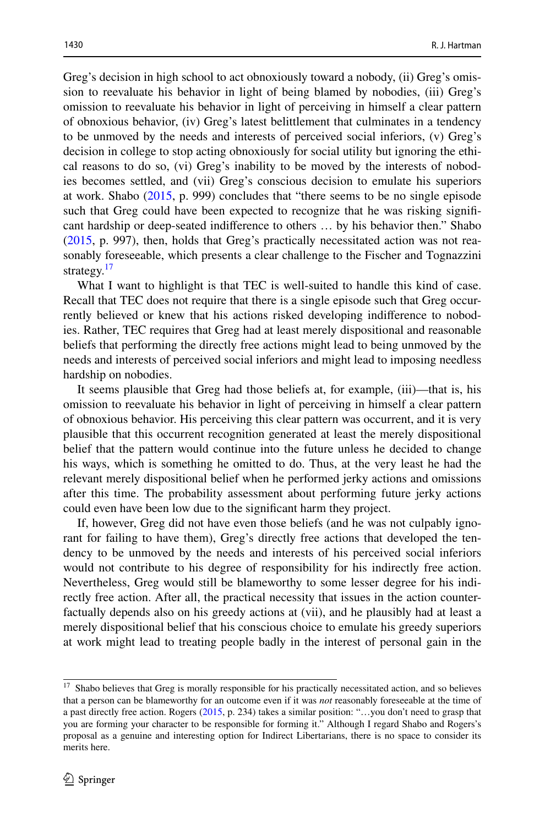Greg's decision in high school to act obnoxiously toward a nobody, (ii) Greg's omission to reevaluate his behavior in light of being blamed by nobodies, (iii) Greg's omission to reevaluate his behavior in light of perceiving in himself a clear pattern of obnoxious behavior, (iv) Greg's latest belittlement that culminates in a tendency to be unmoved by the needs and interests of perceived social inferiors, (v) Greg's decision in college to stop acting obnoxiously for social utility but ignoring the ethical reasons to do so, (vi) Greg's inability to be moved by the interests of nobodies becomes settled, and (vii) Greg's conscious decision to emulate his superiors at work. Shabo ([2015,](#page-18-24) p. 999) concludes that "there seems to be no single episode such that Greg could have been expected to recognize that he was risking signifcant hardship or deep-seated indiference to others … by his behavior then." Shabo [\(2015](#page-18-24), p. 997), then, holds that Greg's practically necessitated action was not reasonably foreseeable, which presents a clear challenge to the Fischer and Tognazzini strategy. $17$ 

What I want to highlight is that TEC is well-suited to handle this kind of case. Recall that TEC does not require that there is a single episode such that Greg occurrently believed or knew that his actions risked developing indiference to nobodies. Rather, TEC requires that Greg had at least merely dispositional and reasonable beliefs that performing the directly free actions might lead to being unmoved by the needs and interests of perceived social inferiors and might lead to imposing needless hardship on nobodies.

It seems plausible that Greg had those beliefs at, for example, (iii)—that is, his omission to reevaluate his behavior in light of perceiving in himself a clear pattern of obnoxious behavior. His perceiving this clear pattern was occurrent, and it is very plausible that this occurrent recognition generated at least the merely dispositional belief that the pattern would continue into the future unless he decided to change his ways, which is something he omitted to do. Thus, at the very least he had the relevant merely dispositional belief when he performed jerky actions and omissions after this time. The probability assessment about performing future jerky actions could even have been low due to the signifcant harm they project.

If, however, Greg did not have even those beliefs (and he was not culpably ignorant for failing to have them), Greg's directly free actions that developed the tendency to be unmoved by the needs and interests of his perceived social inferiors would not contribute to his degree of responsibility for his indirectly free action. Nevertheless, Greg would still be blameworthy to some lesser degree for his indirectly free action. After all, the practical necessity that issues in the action counterfactually depends also on his greedy actions at (vii), and he plausibly had at least a merely dispositional belief that his conscious choice to emulate his greedy superiors at work might lead to treating people badly in the interest of personal gain in the

<span id="page-13-0"></span><sup>&</sup>lt;sup>17</sup> Shabo believes that Greg is morally responsible for his practically necessitated action, and so believes that a person can be blameworthy for an outcome even if it was *not* reasonably foreseeable at the time of a past directly free action. Rogers [\(2015](#page-18-29), p. 234) takes a similar position: "…you don't need to grasp that you are forming your character to be responsible for forming it." Although I regard Shabo and Rogers's proposal as a genuine and interesting option for Indirect Libertarians, there is no space to consider its merits here.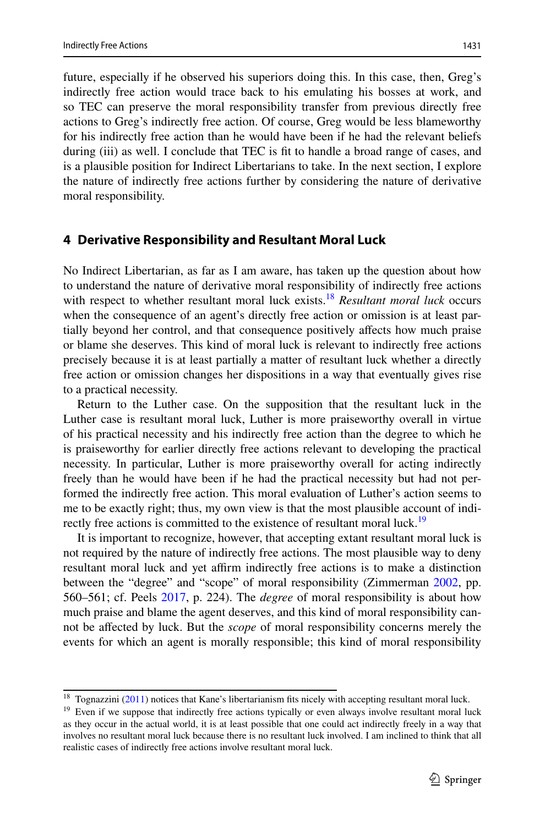future, especially if he observed his superiors doing this. In this case, then, Greg's indirectly free action would trace back to his emulating his bosses at work, and so TEC can preserve the moral responsibility transfer from previous directly free actions to Greg's indirectly free action. Of course, Greg would be less blameworthy for his indirectly free action than he would have been if he had the relevant beliefs during (iii) as well. I conclude that TEC is ft to handle a broad range of cases, and is a plausible position for Indirect Libertarians to take. In the next section, I explore the nature of indirectly free actions further by considering the nature of derivative moral responsibility.

#### **4 Derivative Responsibility and Resultant Moral Luck**

No Indirect Libertarian, as far as I am aware, has taken up the question about how to understand the nature of derivative moral responsibility of indirectly free actions with respect to whether resultant moral luck exists.<sup>[18](#page-14-0)</sup> *Resultant moral luck* occurs when the consequence of an agent's directly free action or omission is at least partially beyond her control, and that consequence positively afects how much praise or blame she deserves. This kind of moral luck is relevant to indirectly free actions precisely because it is at least partially a matter of resultant luck whether a directly free action or omission changes her dispositions in a way that eventually gives rise to a practical necessity.

Return to the Luther case. On the supposition that the resultant luck in the Luther case is resultant moral luck, Luther is more praiseworthy overall in virtue of his practical necessity and his indirectly free action than the degree to which he is praiseworthy for earlier directly free actions relevant to developing the practical necessity. In particular, Luther is more praiseworthy overall for acting indirectly freely than he would have been if he had the practical necessity but had not performed the indirectly free action. This moral evaluation of Luther's action seems to me to be exactly right; thus, my own view is that the most plausible account of indi-rectly free actions is committed to the existence of resultant moral luck.<sup>[19](#page-14-1)</sup>

It is important to recognize, however, that accepting extant resultant moral luck is not required by the nature of indirectly free actions. The most plausible way to deny resultant moral luck and yet afrm indirectly free actions is to make a distinction between the "degree" and "scope" of moral responsibility (Zimmerman [2002,](#page-19-8) pp. 560–561; cf. Peels [2017](#page-18-21), p. 224). The *degree* of moral responsibility is about how much praise and blame the agent deserves, and this kind of moral responsibility cannot be afected by luck. But the *scope* of moral responsibility concerns merely the events for which an agent is morally responsible; this kind of moral responsibility

<span id="page-14-0"></span><sup>&</sup>lt;sup>18</sup> Tognazzini [\(2011](#page-18-30)) notices that Kane's libertarianism fits nicely with accepting resultant moral luck.

<span id="page-14-1"></span><sup>&</sup>lt;sup>19</sup> Even if we suppose that indirectly free actions typically or even always involve resultant moral luck as they occur in the actual world, it is at least possible that one could act indirectly freely in a way that involves no resultant moral luck because there is no resultant luck involved. I am inclined to think that all realistic cases of indirectly free actions involve resultant moral luck.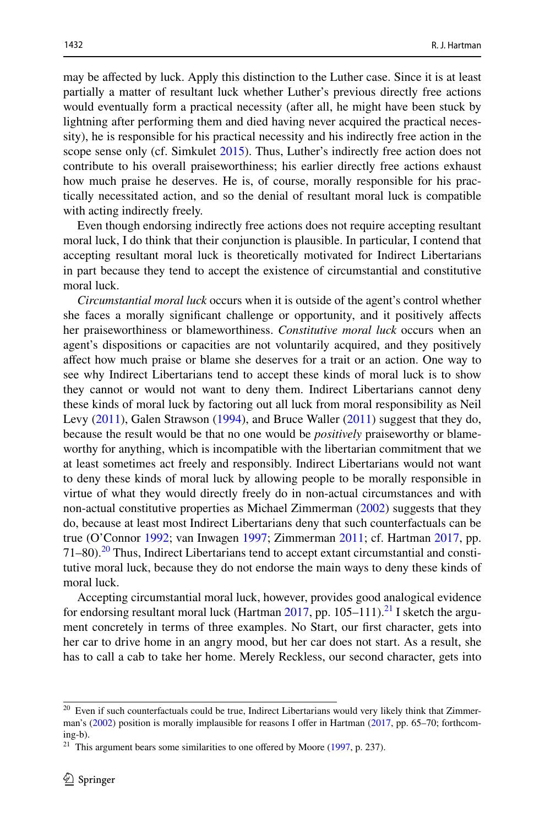may be afected by luck. Apply this distinction to the Luther case. Since it is at least partially a matter of resultant luck whether Luther's previous directly free actions would eventually form a practical necessity (after all, he might have been stuck by lightning after performing them and died having never acquired the practical necessity), he is responsible for his practical necessity and his indirectly free action in the scope sense only (cf. Simkulet [2015](#page-18-31)). Thus, Luther's indirectly free action does not contribute to his overall praiseworthiness; his earlier directly free actions exhaust how much praise he deserves. He is, of course, morally responsible for his practically necessitated action, and so the denial of resultant moral luck is compatible with acting indirectly freely.

Even though endorsing indirectly free actions does not require accepting resultant moral luck, I do think that their conjunction is plausible. In particular, I contend that accepting resultant moral luck is theoretically motivated for Indirect Libertarians in part because they tend to accept the existence of circumstantial and constitutive moral luck.

*Circumstantial moral luck* occurs when it is outside of the agent's control whether she faces a morally signifcant challenge or opportunity, and it positively afects her praiseworthiness or blameworthiness. *Constitutive moral luck* occurs when an agent's dispositions or capacities are not voluntarily acquired, and they positively afect how much praise or blame she deserves for a trait or an action. One way to see why Indirect Libertarians tend to accept these kinds of moral luck is to show they cannot or would not want to deny them. Indirect Libertarians cannot deny these kinds of moral luck by factoring out all luck from moral responsibility as Neil Levy [\(2011](#page-18-10)), Galen Strawson ([1994\)](#page-18-22), and Bruce Waller ([2011\)](#page-19-9) suggest that they do, because the result would be that no one would be *positively* praiseworthy or blameworthy for anything, which is incompatible with the libertarian commitment that we at least sometimes act freely and responsibly. Indirect Libertarians would not want to deny these kinds of moral luck by allowing people to be morally responsible in virtue of what they would directly freely do in non-actual circumstances and with non-actual constitutive properties as Michael Zimmerman ([2002\)](#page-19-8) suggests that they do, because at least most Indirect Libertarians deny that such counterfactuals can be true (O'Connor [1992](#page-18-32); van Inwagen [1997;](#page-19-10) Zimmerman [2011;](#page-19-1) cf. Hartman [2017,](#page-18-17) pp. 71–80).<sup>20</sup> Thus, Indirect Libertarians tend to accept extant circumstantial and constitutive moral luck, because they do not endorse the main ways to deny these kinds of moral luck.

Accepting circumstantial moral luck, however, provides good analogical evidence for endorsing resultant moral luck (Hartman  $2017$ , pp. 105–111).<sup>[21](#page-15-1)</sup> I sketch the argument concretely in terms of three examples. No Start, our frst character, gets into her car to drive home in an angry mood, but her car does not start. As a result, she has to call a cab to take her home. Merely Reckless, our second character, gets into

<span id="page-15-0"></span><sup>&</sup>lt;sup>20</sup> Even if such counterfactuals could be true, Indirect Libertarians would very likely think that Zimmerman's  $(2002)$  $(2002)$  position is morally implausible for reasons I offer in Hartman  $(2017, pp. 65-70;$  $(2017, pp. 65-70;$  forthcoming-b).

<span id="page-15-1"></span> $21$  This argument bears some similarities to one offered by Moore ([1997,](#page-18-33) p. 237).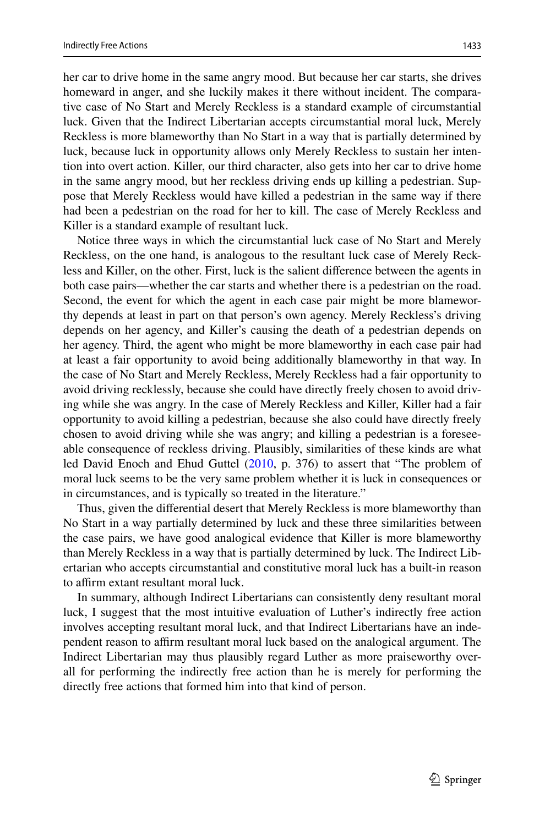her car to drive home in the same angry mood. But because her car starts, she drives homeward in anger, and she luckily makes it there without incident. The comparative case of No Start and Merely Reckless is a standard example of circumstantial luck. Given that the Indirect Libertarian accepts circumstantial moral luck, Merely Reckless is more blameworthy than No Start in a way that is partially determined by luck, because luck in opportunity allows only Merely Reckless to sustain her intention into overt action. Killer, our third character, also gets into her car to drive home in the same angry mood, but her reckless driving ends up killing a pedestrian. Suppose that Merely Reckless would have killed a pedestrian in the same way if there had been a pedestrian on the road for her to kill. The case of Merely Reckless and Killer is a standard example of resultant luck.

Notice three ways in which the circumstantial luck case of No Start and Merely Reckless, on the one hand, is analogous to the resultant luck case of Merely Reckless and Killer, on the other. First, luck is the salient diference between the agents in both case pairs—whether the car starts and whether there is a pedestrian on the road. Second, the event for which the agent in each case pair might be more blameworthy depends at least in part on that person's own agency. Merely Reckless's driving depends on her agency, and Killer's causing the death of a pedestrian depends on her agency. Third, the agent who might be more blameworthy in each case pair had at least a fair opportunity to avoid being additionally blameworthy in that way. In the case of No Start and Merely Reckless, Merely Reckless had a fair opportunity to avoid driving recklessly, because she could have directly freely chosen to avoid driving while she was angry. In the case of Merely Reckless and Killer, Killer had a fair opportunity to avoid killing a pedestrian, because she also could have directly freely chosen to avoid driving while she was angry; and killing a pedestrian is a foreseeable consequence of reckless driving. Plausibly, similarities of these kinds are what led David Enoch and Ehud Guttel ([2010,](#page-17-5) p. 376) to assert that "The problem of moral luck seems to be the very same problem whether it is luck in consequences or in circumstances, and is typically so treated in the literature."

Thus, given the diferential desert that Merely Reckless is more blameworthy than No Start in a way partially determined by luck and these three similarities between the case pairs, we have good analogical evidence that Killer is more blameworthy than Merely Reckless in a way that is partially determined by luck. The Indirect Libertarian who accepts circumstantial and constitutive moral luck has a built-in reason to affirm extant resultant moral luck.

In summary, although Indirect Libertarians can consistently deny resultant moral luck, I suggest that the most intuitive evaluation of Luther's indirectly free action involves accepting resultant moral luck, and that Indirect Libertarians have an independent reason to afrm resultant moral luck based on the analogical argument. The Indirect Libertarian may thus plausibly regard Luther as more praiseworthy overall for performing the indirectly free action than he is merely for performing the directly free actions that formed him into that kind of person.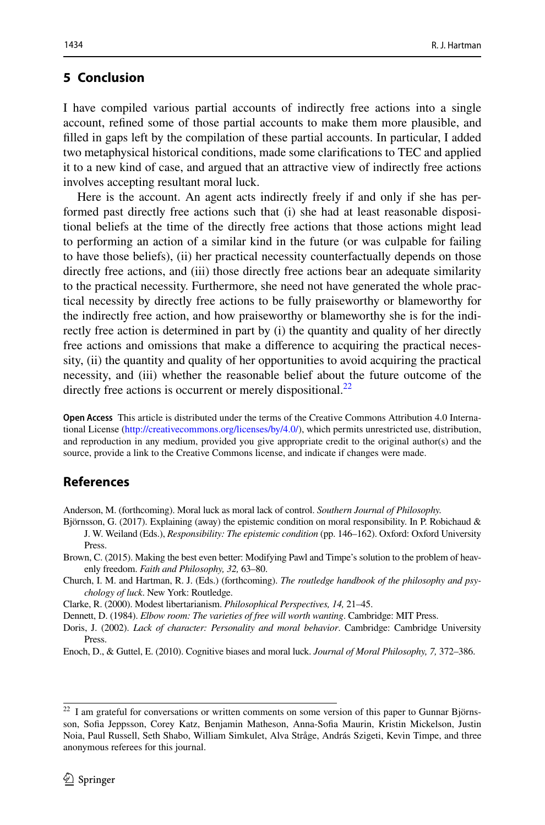# **5 Conclusion**

I have compiled various partial accounts of indirectly free actions into a single account, refned some of those partial accounts to make them more plausible, and flled in gaps left by the compilation of these partial accounts. In particular, I added two metaphysical historical conditions, made some clarifcations to TEC and applied it to a new kind of case, and argued that an attractive view of indirectly free actions involves accepting resultant moral luck.

Here is the account. An agent acts indirectly freely if and only if she has performed past directly free actions such that (i) she had at least reasonable dispositional beliefs at the time of the directly free actions that those actions might lead to performing an action of a similar kind in the future (or was culpable for failing to have those beliefs), (ii) her practical necessity counterfactually depends on those directly free actions, and (iii) those directly free actions bear an adequate similarity to the practical necessity. Furthermore, she need not have generated the whole practical necessity by directly free actions to be fully praiseworthy or blameworthy for the indirectly free action, and how praiseworthy or blameworthy she is for the indirectly free action is determined in part by (i) the quantity and quality of her directly free actions and omissions that make a diference to acquiring the practical necessity, (ii) the quantity and quality of her opportunities to avoid acquiring the practical necessity, and (iii) whether the reasonable belief about the future outcome of the directly free actions is occurrent or merely dispositional.<sup>[22](#page-17-6)</sup>

**Open Access** This article is distributed under the terms of the Creative Commons Attribution 4.0 International License ([http://creativecommons.org/licenses/by/4.0/\)](http://creativecommons.org/licenses/by/4.0/), which permits unrestricted use, distribution, and reproduction in any medium, provided you give appropriate credit to the original author(s) and the source, provide a link to the Creative Commons license, and indicate if changes were made.

### **References**

Anderson, M. (forthcoming). Moral luck as moral lack of control. *Southern Journal of Philosophy.*

- <span id="page-17-4"></span>Björnsson, G. (2017). Explaining (away) the epistemic condition on moral responsibility. In P. Robichaud & J. W. Weiland (Eds.), *Responsibility: The epistemic condition* (pp. 146–162). Oxford: Oxford University Press.
- <span id="page-17-2"></span>Brown, C. (2015). Making the best even better: Modifying Pawl and Timpe's solution to the problem of heavenly freedom. *Faith and Philosophy, 32,* 63–80.
- Church, I. M. and Hartman, R. J. (Eds.) (forthcoming). *The routledge handbook of the philosophy and psychology of luck*. New York: Routledge.
- <span id="page-17-0"></span>Clarke, R. (2000). Modest libertarianism. *Philosophical Perspectives, 14,* 21–45.
- <span id="page-17-1"></span>Dennett, D. (1984). *Elbow room: The varieties of free will worth wanting*. Cambridge: MIT Press.
- <span id="page-17-3"></span>Doris, J. (2002). *Lack of character: Personality and moral behavior*. Cambridge: Cambridge University Press.

<span id="page-17-5"></span>Enoch, D., & Guttel, E. (2010). Cognitive biases and moral luck. *Journal of Moral Philosophy, 7,* 372–386.

<span id="page-17-6"></span> $22$  I am grateful for conversations or written comments on some version of this paper to Gunnar Björnsson, Sofa Jeppsson, Corey Katz, Benjamin Matheson, Anna-Sofa Maurin, Kristin Mickelson, Justin Noia, Paul Russell, Seth Shabo, William Simkulet, Alva Stråge, András Szigeti, Kevin Timpe, and three anonymous referees for this journal.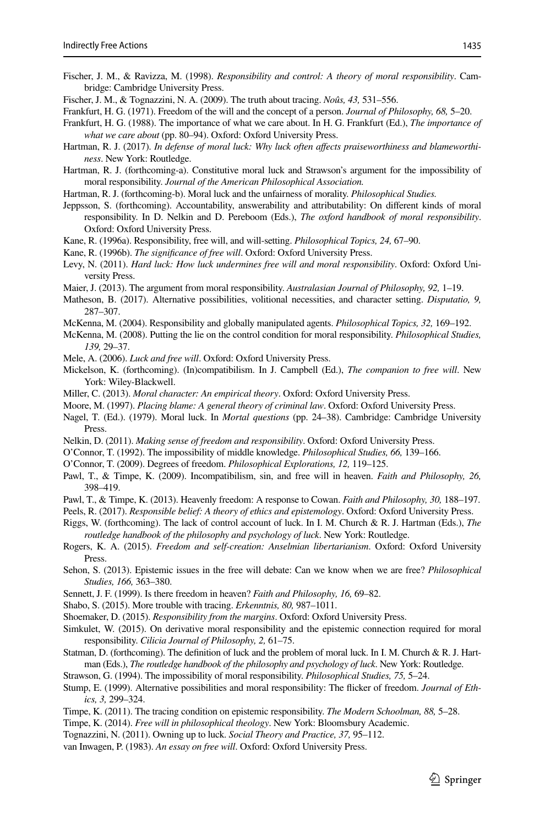- <span id="page-18-12"></span>Fischer, J. M., & Ravizza, M. (1998). *Responsibility and control: A theory of moral responsibility*. Cambridge: Cambridge University Press.
- <span id="page-18-23"></span>Fischer, J. M., & Tognazzini, N. A. (2009). The truth about tracing. *Noûs, 43,* 531–556.
- <span id="page-18-8"></span>Frankfurt, H. G. (1971). Freedom of the will and the concept of a person. *Journal of Philosophy, 68,* 5–20.
- <span id="page-18-13"></span>Frankfurt, H. G. (1988). The importance of what we care about. In H. G. Frankfurt (Ed.), *The importance of what we care about* (pp. 80–94). Oxford: Oxford University Press.
- <span id="page-18-17"></span>Hartman, R. J. (2017). *In defense of moral luck: Why luck often afects praiseworthiness and blameworthiness*. New York: Routledge.
- Hartman, R. J. (forthcoming-a). Constitutive moral luck and Strawson's argument for the impossibility of moral responsibility. *Journal of the American Philosophical Association.*
- Hartman, R. J. (forthcoming-b). Moral luck and the unfairness of morality. *Philosophical Studies.*
- Jeppsson, S. (forthcoming). Accountability, answerability and attributability: On diferent kinds of moral responsibility. In D. Nelkin and D. Pereboom (Eds.), *The oxford handbook of moral responsibility*. Oxford: Oxford University Press.
- <span id="page-18-15"></span>Kane, R. (1996a). Responsibility, free will, and will-setting. *Philosophical Topics, 24,* 67–90.
- <span id="page-18-0"></span>Kane, R. (1996b). *The signifcance of free will*. Oxford: Oxford University Press.
- <span id="page-18-10"></span>Levy, N. (2011). *Hard luck: How luck undermines free will and moral responsibility*. Oxford: Oxford University Press.
- <span id="page-18-26"></span>Maier, J. (2013). The argument from moral responsibility. *Australasian Journal of Philosophy, 92,* 1–19.
- <span id="page-18-19"></span>Matheson, B. (2017). Alternative possibilities, volitional necessities, and character setting. *Disputatio, 9,* 287–307.
- <span id="page-18-20"></span>McKenna, M. (2004). Responsibility and globally manipulated agents. *Philosophical Topics, 32,* 169–192.
- <span id="page-18-25"></span>McKenna, M. (2008). Putting the lie on the control condition for moral responsibility. *Philosophical Studies, 139,* 29–37.
- <span id="page-18-11"></span>Mele, A. (2006). *Luck and free will*. Oxford: Oxford University Press.
- Mickelson, K. (forthcoming). (In)compatibilism. In J. Campbell (Ed.), *The companion to free will*. New York: Wiley-Blackwell.
- <span id="page-18-18"></span>Miller, C. (2013). *Moral character: An empirical theory*. Oxford: Oxford University Press.
- <span id="page-18-33"></span>Moore, M. (1997). *Placing blame: A general theory of criminal law*. Oxford: Oxford University Press.
- <span id="page-18-16"></span>Nagel, T. (Ed.). (1979). Moral luck. In *Mortal questions* (pp. 24–38). Cambridge: Cambridge University Press.
- <span id="page-18-7"></span>Nelkin, D. (2011). *Making sense of freedom and responsibility*. Oxford: Oxford University Press.
- <span id="page-18-32"></span>O'Connor, T. (1992). The impossibility of middle knowledge. *Philosophical Studies, 66,* 139–166.
- <span id="page-18-1"></span>O'Connor, T. (2009). Degrees of freedom. *Philosophical Explorations, 12,* 119–125.
- <span id="page-18-2"></span>Pawl, T., & Timpe, K. (2009). Incompatibilism, sin, and free will in heaven. *Faith and Philosophy, 26,* 398–419.
- <span id="page-18-3"></span>Pawl, T., & Timpe, K. (2013). Heavenly freedom: A response to Cowan. *Faith and Philosophy, 30,* 188–197.
- <span id="page-18-21"></span>Peels, R. (2017). *Responsible belief: A theory of ethics and epistemology*. Oxford: Oxford University Press.
- Riggs, W. (forthcoming). The lack of control account of luck. In I. M. Church & R. J. Hartman (Eds.), *The routledge handbook of the philosophy and psychology of luck*. New York: Routledge.
- <span id="page-18-29"></span>Rogers, K. A. (2015). *Freedom and self-creation: Anselmian libertarianism*. Oxford: Oxford University Press.
- <span id="page-18-28"></span>Sehon, S. (2013). Epistemic issues in the free will debate: Can we know when we are free? *Philosophical Studies, 166,* 363–380.
- <span id="page-18-9"></span>Sennett, J. F. (1999). Is there freedom in heaven? *Faith and Philosophy, 16,* 69–82.
- <span id="page-18-24"></span>Shabo, S. (2015). More trouble with tracing. *Erkenntnis, 80,* 987–1011.
- <span id="page-18-6"></span>Shoemaker, D. (2015). *Responsibility from the margins*. Oxford: Oxford University Press.
- <span id="page-18-31"></span>Simkulet, W. (2015). On derivative moral responsibility and the epistemic connection required for moral responsibility. *Cilicia Journal of Philosophy, 2,* 61–75.
- Statman, D. (forthcoming). The defnition of luck and the problem of moral luck. In I. M. Church & R. J. Hartman (Eds.), *The routledge handbook of the philosophy and psychology of luck*. New York: Routledge.
- <span id="page-18-22"></span>Strawson, G. (1994). The impossibility of moral responsibility. *Philosophical Studies, 75,* 5–24.
- <span id="page-18-14"></span>Stump, E. (1999). Alternative possibilities and moral responsibility: The ficker of freedom. *Journal of Ethics, 3,* 299–324.
- <span id="page-18-4"></span>Timpe, K. (2011). The tracing condition on epistemic responsibility. *The Modern Schoolman, 88,* 5–28.
- <span id="page-18-5"></span>Timpe, K. (2014). *Free will in philosophical theology*. New York: Bloomsbury Academic.
- <span id="page-18-30"></span>Tognazzini, N. (2011). Owning up to luck. *Social Theory and Practice, 37,* 95–112.
- <span id="page-18-27"></span>van Inwagen, P. (1983). *An essay on free will*. Oxford: Oxford University Press.